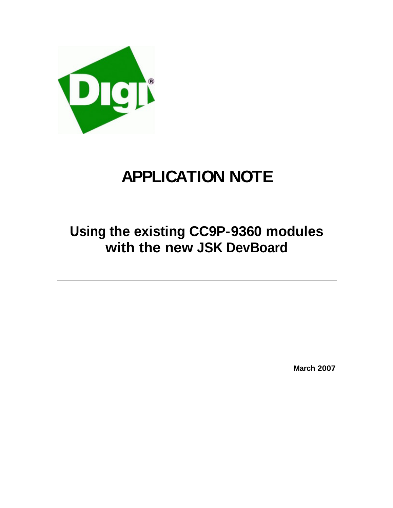

# **APPLICATION NOTE**

## **Using the existing CC9P-9360 modules with the new JSK DevBoard**

**March 2007**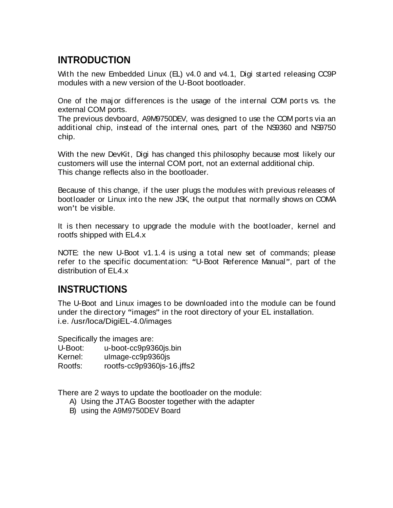## **INTRODUCTION**

With the new Embedded Linux (EL) v4.0 and v4.1, Digi started releasing CC9P modules with a new version of the U-Boot bootloader.

One of the major differences is the usage of the internal COM ports vs. the external COM ports.

The previous devboard, A9M9750DEV, was designed to use the COM ports via an additional chip, instead of the internal ones, part of the NS9360 and NS9750 chip. In the contract of the contract of the contract of the contract of the contract of the contract of the contract of the contract of the contract of the contract of the contract of the contract of the contract of the c

With the new DevKit, Digi has changed this philosophy because most likely our customers will use the internal COM port, not an external additional chip. This change reflects also in the bootloader.

Because of this change, if the user plugs the modules with previous releases of bootloader or Linux into the new JSK, the output that normally shows on COMA won't be visible. The visible of the visible of the visible of the visible of the visible of the visible of the visible of the visible of the visible of the visible of the visible of the visible of the visible of the visib

It is then necessary to upgrade the module with the bootloader, kernel and rootfs shipped with EL4.x

NOTE: the new U-Boot v1.1.4 is using a total new set of commands; please refer to the specific documentation: "U-Boot Reference Manual", part of the distribution of EL4.x

#### **INSTRUCTIONS**

The U-Boot and Linux images to be downloaded into the module can be found under the directory "images" in the root directory of your EL installation. i.e. /usr/loca/DigiEL-4.0/images

Specifically the images are:

U-Boot: u-boot-cc9p9360js.bin

Kernel: uImage-cc9p9360js

Rootfs: rootfs-cc9p9360js-16.jffs2

There are 2 ways to update the bootloader on the module:

- A) Using the JTAG Booster together with the adapter
- B) using the A9M9750DEV Board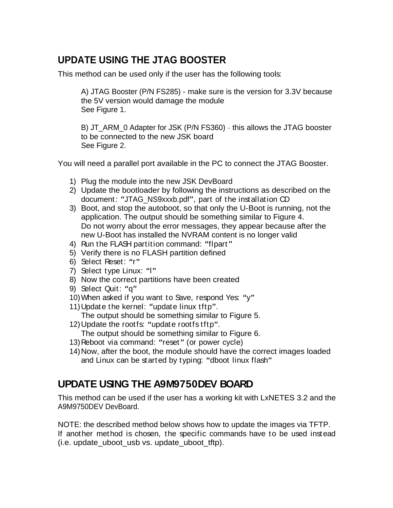### **UPDATE USING THE JTAG BOOSTER**

This method can be used only if the user has the following tools:

A) JTAG Booster (P/N FS285) - make sure is the version for 3.3V because the 5V version would damage the module See Figure 1.

B) JT\_ARM\_0 Adapter for JSK (P/N FS360) - this allows the JTAG booster to be connected to the new JSK board See Figure 2.

You will need a parallel port available in the PC to connect the JTAG Booster.

- 1) Plug the module into the new JSK DevBoard
- 2) Update the bootloader by following the instructions as described on the document: "JTAG\_NS9xxxb.pdf", part of the installation CD
- 3) Boot, and stop the autoboot, so that only the U-Boot is running, not the application. The output should be something similar to Figure 4. Do not worry about the error messages, they appear because after the new U-Boot has installed the NVRAM content is no longer valid
- 4) Run the FLASH partition command: "flpart"
- 5) Verify there is no FLASH partition defined
- 6) Select Reset: "r"
- 7) Select type Linux: "I"
- 8) Now the correct partitions have been created
- 9) Select Quit: "q" expression of the selection of the selection of the selection of the selection of the selection of the selection of the selection of the selection of the selection of the selection of the selection of t
- 10) When asked if you want to Save, respond Yes: "y"
- 11) Update the kernel: "update linux tftp".
- The output should be something similar to Figure 5.
- 12) Update the rootfs: "update rootfs tftp".
	- The output should be something similar to Figure 6.
- 13) Reboot via command: "reset" (or power cycle)
- 14)Now, after the boot, the module should have the correct images loaded and Linux can be started by typing: "dboot linux flash"

#### **UPDATE USING THE A9M9750DEV BOARD**

This method can be used if the user has a working kit with LxNETES 3.2 and the A9M9750DEV DevBoard.

NOTE: the described method below shows how to update the images via TFTP. If another method is chosen, the specific commands have to be used instead (i.e. update\_uboot\_usb vs. update\_uboot\_tftp).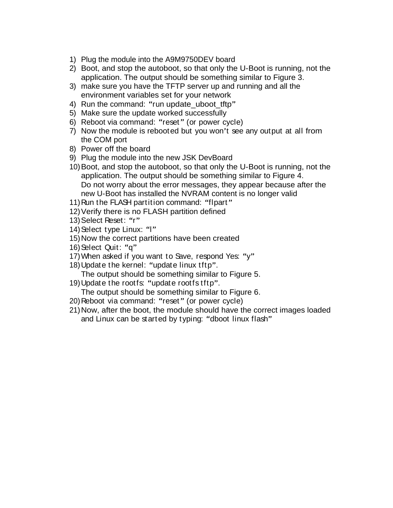- 1) Plug the module into the A9M9750DEV board
- 2) Boot, and stop the autoboot, so that only the U-Boot is running, not the application. The output should be something similar to Figure 3.
- 3) make sure you have the TFTP server up and running and all the environment variables set for your network
- 4) Run the command: "run update\_uboot\_tftp"
- 5) Make sure the update worked successfully
- 6) Reboot via command: "reset" (or power cycle)
- 7) Now the module is rebooted but you won't see any output at all from the COM port
- 8) Power off the board
- 9) Plug the module into the new JSK DevBoard
- 10)Boot, and stop the autoboot, so that only the U-Boot is running, not the application. The output should be something similar to Figure 4. Do not worry about the error messages, they appear because after the new U-Boot has installed the NVRAM content is no longer valid
- 11) Run the FLASH partition command: "flpart"
- 12)Verify there is no FLASH partition defined
- 13) Select Reset: "r"
- 14) Select type Linux: "I"
- 15)Now the correct partitions have been created
- 16)Select Quit: "q" expression of the selection of the selection of the selection of the selection of the selection of the selection of the selection of the selection of the selection of the selection of the selection of t
- 17) When asked if you want to Save, respond Yes: " $y$ "
- 18) Update the kernel: "update linux tftp".
- The output should be something similar to Figure 5.
- 19) Update the rootfs: "update rootfs tftp".
	- The output should be something similar to Figure 6.
- 20) Reboot via command: "reset" (or power cycle)
- 21)Now, after the boot, the module should have the correct images loaded and Linux can be started by typing: "dboot linux flash"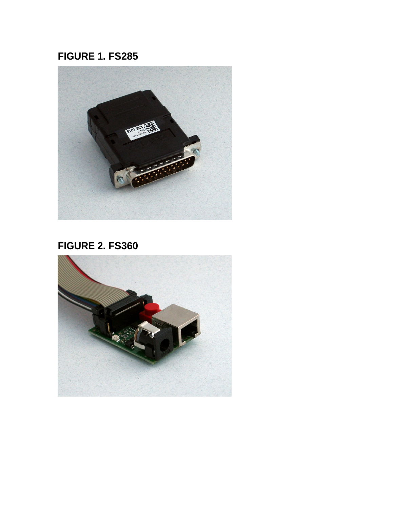## **FIGURE 1. FS285**



## **FIGURE 2. FS360**

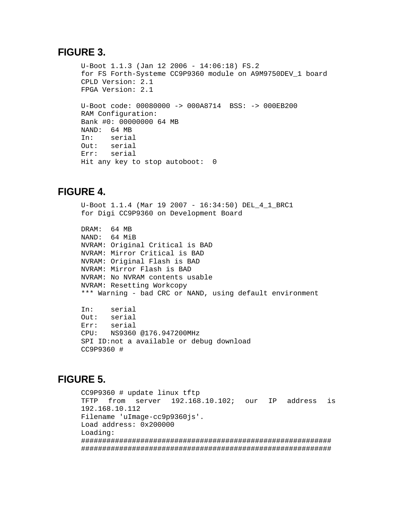#### **FIGURE 3.**

```
U-Boot 1.1.3 (Jan 12 2006 - 14:06:18) FS.2
for FS Forth-Systeme CC9P9360 module on A9M9750DEV_1 board
CPLD Version: 2.1
FPGA Version: 2.1
U-Boot code: 00080000 -> 000A8714 BSS: -> 000EB200
RAM Configuration:
Bank #0: 00000000 64 MB
NAND: 64 MB
In: serial
Out: serial
Err: serial
Hit any key to stop autoboot: 0
```
#### **FIGURE 4.**

```
U-Boot 1.1.4 (Mar 19 2007 - 16:34:50) DEL_4_1_BRC1
for Digi CC9P9360 on Development Board
DRAM: 64 MB
NAND: 64 MiB
NVRAM: Original Critical is BAD
NVRAM: Mirror Critical is BAD
NVRAM: Original Flash is BAD
NVRAM: Mirror Flash is BAD
NVRAM: No NVRAM contents usable
NVRAM: Resetting Workcopy
*** Warning - bad CRC or NAND, using default environment
In: serial
Out: serial
Err: serial
CPU: NS9360 @176.947200MHz
SPI ID:not a available or debug download
CC9P9360 #
```
#### **FIGURE 5.**

```
CC9P9360 # update linux tftp
TFTP from server 192.168.10.102; our IP address is
192.168.10.112
Filename 'uImage-cc9p9360js'.
Load address: 0x200000
Loading: 
###########################################################
###########################################################
```